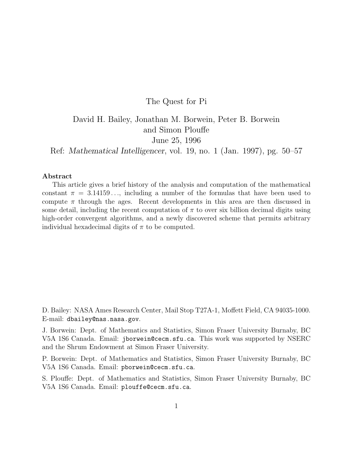### The Quest for Pi

# David H. Bailey, Jonathan M. Borwein, Peter B. Borwein and Simon Plouffe June 25, 1996

Ref: *Mathematical Intelligencer*, vol. 19, no. 1 (Jan. 1997), pg. 50–57

### **Abstract**

This article gives a brief history of the analysis and computation of the mathematical constant  $\pi = 3.14159...$ , including a number of the formulas that have been used to compute  $\pi$  through the ages. Recent developments in this area are then discussed in some detail, including the recent computation of  $\pi$  to over six billion decimal digits using high-order convergent algorithms, and a newly discovered scheme that permits arbitrary individual hexadecimal digits of  $\pi$  to be computed.

D. Bailey: NASA Ames Research Center, Mail Stop T27A-1, Moffett Field, CA 94035-1000. E-mail: dbailey@nas.nasa.gov.

J. Borwein: Dept. of Mathematics and Statistics, Simon Fraser University Burnaby, BC V5A 1S6 Canada. Email: jborwein@cecm.sfu.ca. This work was supported by NSERC and the Shrum Endowment at Simon Fraser University.

P. Borwein: Dept. of Mathematics and Statistics, Simon Fraser University Burnaby, BC V5A 1S6 Canada. Email: pborwein@cecm.sfu.ca.

S. Plouffe: Dept. of Mathematics and Statistics, Simon Fraser University Burnaby, BC V5A 1S6 Canada. Email: plouffe@cecm.sfu.ca.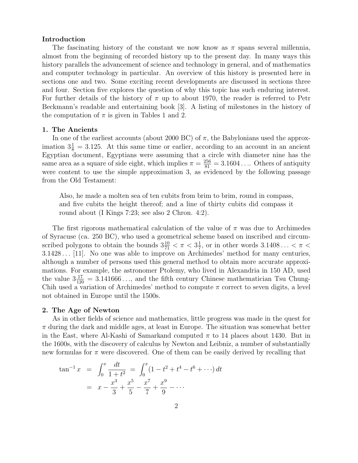### **Introduction**

The fascinating history of the constant we now know as  $\pi$  spans several millennia, almost from the beginning of recorded history up to the present day. In many ways this history parallels the advancement of science and technology in general, and of mathematics and computer technology in particular. An overview of this history is presented here in sections one and two. Some exciting recent developments are discussed in sections three and four. Section five explores the question of why this topic has such enduring interest. For further details of the history of  $\pi$  up to about 1970, the reader is referred to Petr Beckmann's readable and entertaining book [3]. A listing of milestones in the history of the computation of  $\pi$  is given in Tables 1 and 2.

### **1. The Ancients**

In one of the earliest accounts (about 2000 BC) of  $\pi$ , the Babylonians used the approximation  $3\frac{1}{8} = 3.125$ . At this same time or earlier, according to an account in an ancient Egyptian document, Egyptians were assuming that a circle with diameter nine has the same area as a square of side eight, which implies  $\pi = \frac{256}{81} = 3.1604...$  Others of antiquity were content to use the simple approximation 3, as evidenced by the following passage from the Old Testament:

Also, he made a molten sea of ten cubits from brim to brim, round in compass, and five cubits the height thereof; and a line of thirty cubits did compass it round about (I Kings 7:23; see also 2 Chron. 4:2).

The first rigorous mathematical calculation of the value of  $\pi$  was due to Archimedes of Syracuse (ca. 250 BC), who used a geometrical scheme based on inscribed and circumscribed polygons to obtain the bounds  $3\frac{10}{71} < \pi < 3\frac{1}{7}$ , or in other words  $3.1408... < \pi <$ 3.1428 ... [11]. No one was able to improve on Archimedes' method for many centuries, although a number of persons used this general method to obtain more accurate approximations. For example, the astronomer Ptolemy, who lived in Alexandria in 150 AD, used the value  $3\frac{17}{120} = 3.141666...$ , and the fifth century Chinese mathematician Tsu Chung-Chih used a variation of Archimedes' method to compute  $\pi$  correct to seven digits, a level not obtained in Europe until the 1500s.

### **2. The Age of Newton**

As in other fields of science and mathematics, little progress was made in the quest for  $\pi$  during the dark and middle ages, at least in Europe. The situation was somewhat better in the East, where Al-Kashi of Samarkand computed  $\pi$  to 14 places about 1430. But in the 1600s, with the discovery of calculus by Newton and Leibniz, a number of substantially new formulas for  $\pi$  were discovered. One of them can be easily derived by recalling that

$$
\tan^{-1} x = \int_0^x \frac{dt}{1+t^2} = \int_0^x (1-t^2+t^4-t^6+\cdots) dt
$$
  
=  $x - \frac{x^3}{3} + \frac{x^5}{5} - \frac{x^7}{7} + \frac{x^9}{9} - \cdots$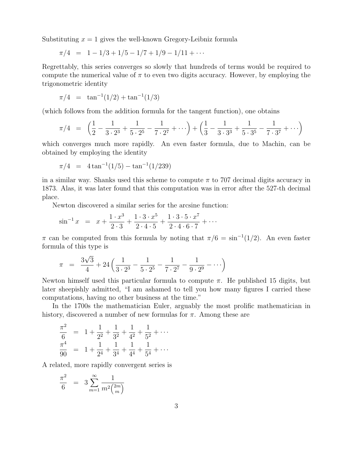Substituting  $x = 1$  gives the well-known Gregory-Leibniz formula

$$
\pi/4 = 1 - 1/3 + 1/5 - 1/7 + 1/9 - 1/11 + \cdots
$$

Regrettably, this series converges so slowly that hundreds of terms would be required to compute the numerical value of  $\pi$  to even two digits accuracy. However, by employing the trigonometric identity

$$
\pi/4 = \tan^{-1}(1/2) + \tan^{-1}(1/3)
$$

(which follows from the addition formula for the tangent function), one obtains

$$
\pi/4 = \left(\frac{1}{2} - \frac{1}{3 \cdot 2^3} + \frac{1}{5 \cdot 2^5} - \frac{1}{7 \cdot 2^7} + \cdots\right) + \left(\frac{1}{3} - \frac{1}{3 \cdot 3^3} + \frac{1}{5 \cdot 3^5} - \frac{1}{7 \cdot 3^7} + \cdots\right)
$$

which converges much more rapidly. An even faster formula, due to Machin, can be obtained by employing the identity

$$
\pi/4 = 4 \tan^{-1}(1/5) - \tan^{-1}(1/239)
$$

in a similar way. Shanks used this scheme to compute  $\pi$  to 707 decimal digits accuracy in 1873. Alas, it was later found that this computation was in error after the 527-th decimal place.

Newton discovered a similar series for the arcsine function:

$$
\sin^{-1} x = x + \frac{1 \cdot x^3}{2 \cdot 3} + \frac{1 \cdot 3 \cdot x^5}{2 \cdot 4 \cdot 5} + \frac{1 \cdot 3 \cdot 5 \cdot x^7}{2 \cdot 4 \cdot 6 \cdot 7} + \cdots
$$

 $\pi$  can be computed from this formula by noting that  $\pi/6 = \sin^{-1}(1/2)$ . An even faster formula of this type is

$$
\pi = \frac{3\sqrt{3}}{4} + 24\left(\frac{1}{3\cdot 2^3} - \frac{1}{5\cdot 2^5} - \frac{1}{7\cdot 2^7} - \frac{1}{9\cdot 2^9} - \cdots\right)
$$

Newton himself used this particular formula to compute  $\pi$ . He published 15 digits, but later sheepishly admitted, "I am ashamed to tell you how many figures I carried these computations, having no other business at the time."

In the 1700s the mathematician Euler, arguably the most prolific mathematician in history, discovered a number of new formulas for  $\pi$ . Among these are

$$
\frac{\pi^2}{6} = 1 + \frac{1}{2^2} + \frac{1}{3^2} + \frac{1}{4^2} + \frac{1}{5^2} + \cdots
$$
  

$$
\frac{\pi^4}{90} = 1 + \frac{1}{2^4} + \frac{1}{3^4} + \frac{1}{4^4} + \frac{1}{5^4} + \cdots
$$

A related, more rapidly convergent series is

$$
\frac{\pi^2}{6} = 3 \sum_{m=1}^{\infty} \frac{1}{m^2 \binom{2m}{m}}
$$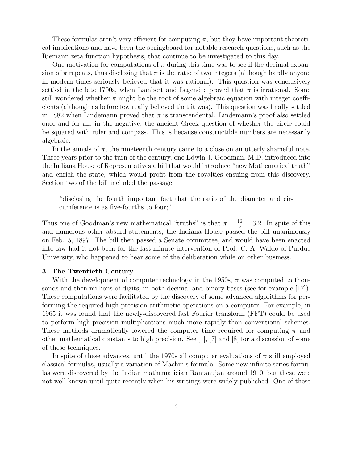These formulas aren't very efficient for computing  $\pi$ , but they have important theoretical implications and have been the springboard for notable research questions, such as the Riemann zeta function hypothesis, that continue to be investigated to this day.

One motivation for computations of  $\pi$  during this time was to see if the decimal expansion of  $\pi$  repeats, thus disclosing that  $\pi$  is the ratio of two integers (although hardly anyone in modern times seriously believed that it was rational). This question was conclusively settled in the late 1700s, when Lambert and Legendre proved that  $\pi$  is irrational. Some still wondered whether  $\pi$  might be the root of some algebraic equation with integer coefficients (although as before few really believed that it was). This question was finally settled in 1882 when Lindemann proved that  $\pi$  is transcendental. Lindemann's proof also settled once and for all, in the negative, the ancient Greek question of whether the circle could be squared with ruler and compass. This is because constructible numbers are necessarily algebraic.

In the annals of  $\pi$ , the nineteenth century came to a close on an utterly shameful note. Three years prior to the turn of the century, one Edwin J. Goodman, M.D. introduced into the Indiana House of Representatives a bill that would introduce "new Mathematical truth" and enrich the state, which would profit from the royalties ensuing from this discovery. Section two of the bill included the passage

"disclosing the fourth important fact that the ratio of the diameter and circumference is as five-fourths to four;"

Thus one of Goodman's new mathematical "truths" is that  $\pi = \frac{16}{5} = 3.2$ . In spite of this and numerous other absurd statements, the Indiana House passed the bill unanimously on Feb. 5, 1897. The bill then passed a Senate committee, and would have been enacted into law had it not been for the last-minute intervention of Prof. C. A. Waldo of Purdue University, who happened to hear some of the deliberation while on other business.

### **3. The Twentieth Century**

With the development of computer technology in the 1950s,  $\pi$  was computed to thousands and then millions of digits, in both decimal and binary bases (see for example [17]). These computations were facilitated by the discovery of some advanced algorithms for performing the required high-precision arithmetic operations on a computer. For example, in 1965 it was found that the newly-discovered fast Fourier transform (FFT) could be used to perform high-precision multiplications much more rapidly than conventional schemes. These methods dramatically lowered the computer time required for computing  $\pi$  and other mathematical constants to high precision. See [1], [7] and [8] for a discussion of some of these techniques.

In spite of these advances, until the 1970s all computer evaluations of  $\pi$  still employed classical formulas, usually a variation of Machin's formula. Some new infinite series formulas were discovered by the Indian mathematician Ramanujan around 1910, but these were not well known until quite recently when his writings were widely published. One of these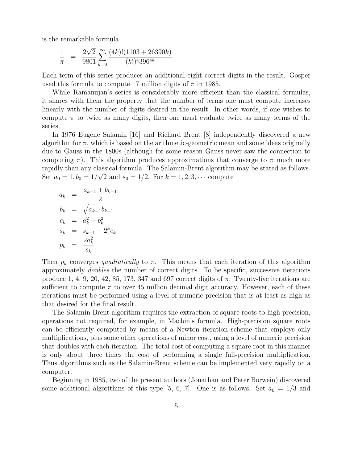is the remarkable formula

$$
\frac{1}{\pi} = \frac{2\sqrt{2}}{9801} \sum_{k=0}^{\infty} \frac{(4k)!(1103 + 26390k)}{(k!)^4 396^{4k}}
$$

Each term of this series produces an additional eight correct digits in the result. Gosper used this formula to compute 17 million digits of  $\pi$  in 1985.

While Ramanujan's series is considerably more efficient than the classical formulas, it shares with them the property that the number of terms one must compute increases linearly with the number of digits desired in the result. In other words, if one wishes to compute  $\pi$  to twice as many digits, then one must evaluate twice as many terms of the series.

In 1976 Eugene Salamin [16] and Richard Brent [8] independently discovered a new algorithm for  $\pi$ , which is based on the arithmetic-geometric mean and some ideas originally due to Gauss in the 1800s (although for some reason Gauss never saw the connection to computing  $\pi$ ). This algorithm produces approximations that converge to  $\pi$  much more rapidly than any classical formula. The Salamin-Brent algorithm may be stated as follows. Set  $a_0 = 1, b_0 = 1/\sqrt{2}$  and  $s_0 = 1/2$ . For  $k = 1, 2, 3, \cdots$  compute

$$
a_k = \frac{a_{k-1} + b_{k-1}}{2}
$$
  
\n
$$
b_k = \sqrt{a_{k-1}b_{k-1}}
$$
  
\n
$$
c_k = a_k^2 - b_k^2
$$
  
\n
$$
s_k = s_{k-1} - 2^k c_k
$$
  
\n
$$
p_k = \frac{2a_k^2}{s_k}
$$

Then  $p_k$  converges *quadratically* to  $\pi$ . This means that each iteration of this algorithm approximately *doubles* the number of correct digits. To be specific, successive iterations produce 1, 4, 9, 20, 42, 85, 173, 347 and 697 correct digits of  $\pi$ . Twenty-five iterations are sufficient to compute  $\pi$  to over 45 million decimal digit accuracy. However, each of these iterations must be performed using a level of numeric precision that is at least as high as that desired for the final result.

The Salamin-Brent algorithm requires the extraction of square roots to high precision, operations not required, for example, in Machin's formula. High-precision square roots can be efficiently computed by means of a Newton iteration scheme that employs only multiplications, plus some other operations of minor cost, using a level of numeric precision that doubles with each iteration. The total cost of computing a square root in this manner is only about three times the cost of performing a single full-precision multiplication. Thus algorithms such as the Salamin-Brent scheme can be implemented very rapidly on a computer.

Beginning in 1985, two of the present authors (Jonathan and Peter Borwein) discovered some additional algorithms of this type [5, 6, 7]. One is as follows. Set  $a_0 = 1/3$  and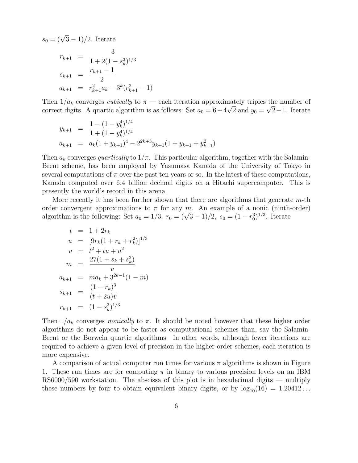$s_0 = (\sqrt{3} - 1)/2$ . Iterate

$$
r_{k+1} = \frac{3}{1 + 2(1 - s_k^3)^{1/3}}
$$
  
\n
$$
s_{k+1} = \frac{r_{k+1} - 1}{2}
$$
  
\n
$$
a_{k+1} = r_{k+1}^2 a_k - 3^k (r_{k+1}^2 - 1)
$$

Then  $1/a_k$  converges *cubically* to  $\pi$  — each iteration approximately triples the number of correct digits. A quartic algorithm is as follows: Set  $a_0 = 6 - 4\sqrt{2}$  and  $y_0 = \sqrt{2} - 1$ . Iterate

$$
y_{k+1} = \frac{1 - (1 - y_k^4)^{1/4}}{1 + (1 - y_k^4)^{1/4}}
$$
  
\n
$$
a_{k+1} = a_k (1 + y_{k+1})^4 - 2^{2k+3} y_{k+1} (1 + y_{k+1} + y_{k+1}^2)
$$

Then  $a_k$  converges *quartically* to  $1/\pi$ . This particular algorithm, together with the Salamin-Brent scheme, has been employed by Yasumasa Kanada of the University of Tokyo in several computations of  $\pi$  over the past ten years or so. In the latest of these computations, Kanada computed over 6.4 billion decimal digits on a Hitachi supercomputer. This is presently the world's record in this arena.

More recently it has been further shown that there are algorithms that generate m-th order convergent approximations to  $\pi$  for any m. An example of a nonic (ninth-order) algorithm is the following: Set  $a_0 = 1/3$ ,  $r_0 = (\sqrt{3} - 1)/2$ ,  $s_0 = (1 - r_0^3)^{1/3}$ . Iterate

$$
t = 1 + 2r_k
$$
  
\n
$$
u = [9r_k(1 + r_k + r_k^2)]^{1/3}
$$
  
\n
$$
v = t^2 + tu + u^2
$$
  
\n
$$
m = \frac{27(1 + s_k + s_k^2)}{v}
$$
  
\n
$$
a_{k+1} = ma_k + 3^{2k-1}(1 - m)
$$
  
\n
$$
s_{k+1} = \frac{(1 - r_k)^3}{(t + 2u)v}
$$
  
\n
$$
r_{k+1} = (1 - s_k^3)^{1/3}
$$

Then  $1/a_k$  converges *nonically* to  $\pi$ . It should be noted however that these higher order algorithms do not appear to be faster as computational schemes than, say the Salamin-Brent or the Borwein quartic algorithms. In other words, although fewer iterations are required to achieve a given level of precision in the higher-order schemes, each iteration is more expensive.

A comparison of actual computer run times for various  $\pi$  algorithms is shown in Figure 1. These run times are for computing  $\pi$  in binary to various precision levels on an IBM RS6000/590 workstation. The abscissa of this plot is in hexadecimal digits — multiply these numbers by four to obtain equivalent binary digits, or by  $log_{10}(16) = 1.20412...$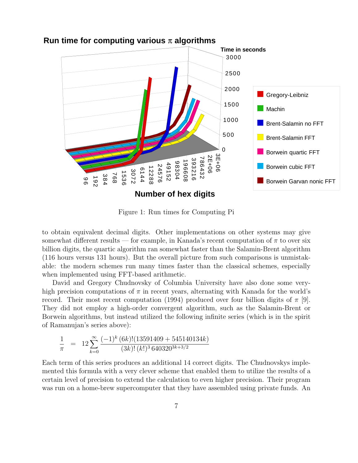

### **Run time for computing various** π **algorithms**

Figure 1: Run times for Computing Pi

to obtain equivalent decimal digits. Other implementations on other systems may give somewhat different results — for example, in Kanada's recent computation of  $\pi$  to over six billion digits, the quartic algorithm ran somewhat faster than the Salamin-Brent algorithm (116 hours versus 131 hours). But the overall picture from such comparisons is unmistakable: the modern schemes run many times faster than the classical schemes, especially when implemented using FFT-based arithmetic.

David and Gregory Chudnovsky of Columbia University have also done some veryhigh precision computations of  $\pi$  in recent years, alternating with Kanada for the world's record. Their most recent computation (1994) produced over four billion digits of  $\pi$  [9]. They did not employ a high-order convergent algorithm, such as the Salamin-Brent or Borwein algorithms, but instead utilized the following infinite series (which is in the spirit of Ramanujan's series above):

$$
\frac{1}{\pi} = 12 \sum_{k=0}^{\infty} \frac{(-1)^k (6k)! (13591409 + 545140134k)}{(3k)! (k!)^3 640320^{3k+3/2}}
$$

Each term of this series produces an additional 14 correct digits. The Chudnovskys implemented this formula with a very clever scheme that enabled them to utilize the results of a certain level of precision to extend the calculation to even higher precision. Their program was run on a home-brew supercomputer that they have assembled using private funds. An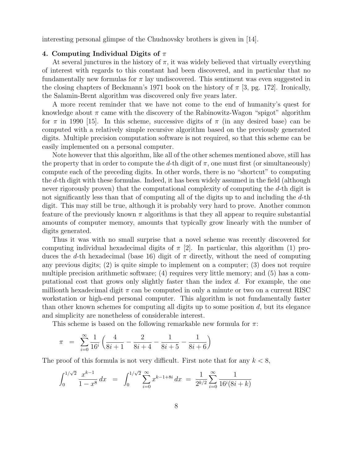interesting personal glimpse of the Chudnovsky brothers is given in [14].

### **4. Computing Individual Digits of** π

At several junctures in the history of  $\pi$ , it was widely believed that virtually everything of interest with regards to this constant had been discovered, and in particular that no fundamentally new formulas for  $\pi$  lay undiscovered. This sentiment was even suggested in the closing chapters of Beckmann's 1971 book on the history of  $\pi$  [3, pg. 172]. Ironically, the Salamin-Brent algorithm was discovered only five years later.

A more recent reminder that we have not come to the end of humanity's quest for knowledge about  $\pi$  came with the discovery of the Rabinowitz-Wagon "spigot" algorithm for  $\pi$  in 1990 [15]. In this scheme, successive digits of  $\pi$  (in any desired base) can be computed with a relatively simple recursive algorithm based on the previously generated digits. Multiple precision computation software is not required, so that this scheme can be easily implemented on a personal computer.

Note however that this algorithm, like all of the other schemes mentioned above, still has the property that in order to compute the d-th digit of  $\pi$ , one must first (or simultaneously) compute each of the preceding digits. In other words, there is no "shortcut" to computing the d-th digit with these formulas. Indeed, it has been widely assumed in the field (although never rigorously proven) that the computational complexity of computing the d-th digit is not significantly less than that of computing all of the digits up to and including the d-th digit. This may still be true, although it is probably very hard to prove. Another common feature of the previously known  $\pi$  algorithms is that they all appear to require substantial amounts of computer memory, amounts that typically grow linearly with the number of digits generated.

Thus it was with no small surprise that a novel scheme was recently discovered for computing individual hexadecimal digits of  $\pi$  [2]. In particular, this algorithm (1) produces the d-th hexadecimal (base 16) digit of  $\pi$  directly, without the need of computing any previous digits; (2) is quite simple to implement on a computer; (3) does not require multiple precision arithmetic software; (4) requires very little memory; and (5) has a computational cost that grows only slightly faster than the index d. For example, the one millionth hexadecimal digit  $\pi$  can be computed in only a minute or two on a current RISC workstation or high-end personal computer. This algorithm is not fundamentally faster than other known schemes for computing all digits up to some position  $d$ , but its elegance and simplicity are nonetheless of considerable interest.

This scheme is based on the following remarkable new formula for  $\pi$ :

$$
\pi = \sum_{i=0}^{\infty} \frac{1}{16^i} \left( \frac{4}{8i+1} - \frac{2}{8i+4} - \frac{1}{8i+5} - \frac{1}{8i+6} \right)
$$

The proof of this formula is not very difficult. First note that for any  $k < 8$ ,

$$
\int_0^{1/\sqrt{2}} \frac{x^{k-1}}{1-x^8} dx = \int_0^{1/\sqrt{2}} \sum_{i=0}^\infty x^{k-1+8i} dx = \frac{1}{2^{k/2}} \sum_{i=0}^\infty \frac{1}{16^i (8i+k)}
$$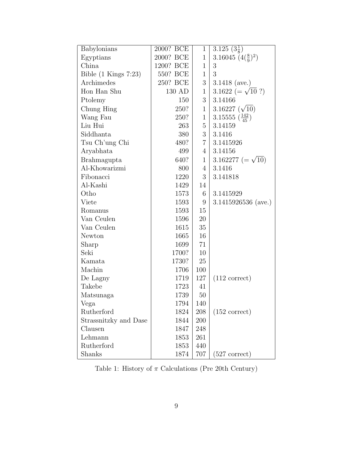| Babylonians            | 2000? BCE | 1              | $\overline{3.125} \ (3\frac{1}{8})$   |
|------------------------|-----------|----------------|---------------------------------------|
| Egyptians              | 2000? BCE | $\mathbf{1}$   | 3.16045 $(4(\frac{8}{9})^2)$          |
| China                  | 1200? BCE | $\mathbf{1}$   | 3                                     |
| Bible $(1$ Kings 7:23) | 550? BCE  | $\mathbf 1$    | 3                                     |
| Archimedes             | 250? BCE  | 3              | 3.1418 (ave.)                         |
| Hon Han Shu            | 130 AD    | $\mathbf{1}$   | 3.1622 (= $\sqrt{10}$ ?)              |
| Ptolemy                | 150       | 3              | 3.14166                               |
| Chung Hing             | 250?      | $\mathbf{1}$   | 3.16227 $(\sqrt{10})$                 |
| Wang Fau               | 250?      | $\mathbf{1}$   | 3.15555 $\left(\frac{142}{45}\right)$ |
| Liu Hui                | 263       | 5              | 3.14159                               |
| Siddhanta              | 380       | 3              | 3.1416                                |
| Tsu Ch'ung Chi         | 480?      | $\overline{7}$ | 3.1415926                             |
| Aryabhata              | 499       | $\overline{4}$ | 3.14156                               |
| <b>Brahmagupta</b>     | 640?      | 1              | 3.162277 ( $=\sqrt{10}$ )             |
| Al-Khowarizmi          | 800       | $\overline{4}$ | 3.1416                                |
| Fibonacci              | 1220      | 3              | 3.141818                              |
| Al-Kashi               | 1429      | 14             |                                       |
| Otho                   | 1573      | 6              | 3.1415929                             |
| Viete                  | 1593      | 9              | $3.1415926536$ (ave.)                 |
| Romanus                | 1593      | 15             |                                       |
| Van Ceulen             | 1596      | 20             |                                       |
| Van Ceulen             | 1615      | 35             |                                       |
| Newton                 | 1665      | 16             |                                       |
| Sharp                  | 1699      | 71             |                                       |
| Seki                   | 1700?     | 10             |                                       |
| Kamata                 | 1730?     | 25             |                                       |
| Machin                 | 1706      | 100            |                                       |
| De Lagny               | 1719      | 127            | $(112 \text{ correct})$               |
| Takebe                 | 1723      | 41             |                                       |
| Matsunaga              | 1739      | 50             |                                       |
| Vega                   | 1794      | 140            |                                       |
| Rutherford             | 1824      | 208            | $(152$ correct)                       |
| Strassnitzky and Dase  | 1844      | 200            |                                       |
| Clausen                | 1847      | 248            |                                       |
| Lehmann                | 1853      | 261            |                                       |
| Rutherford             | 1853      | 440            |                                       |
| Shanks                 | 1874      | 707            | $(527 \text{ correct})$               |

Table 1: History of  $\pi$  Calculations (Pre 20th Century)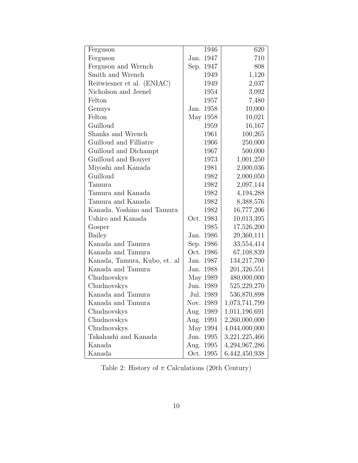| Ferguson                     | 1946         | 620           |
|------------------------------|--------------|---------------|
| Ferguson                     | 1947<br>Jan. | 710           |
| Ferguson and Wrench          | Sep.<br>1947 | 808           |
| Smith and Wrench             | 1949         | 1,120         |
| Reitwiesner et al. (ENIAC)   | 1949         | 2,037         |
| Nicholson and Jeenel         | 1954         | 3,092         |
| Felton                       | 1957         | 7,480         |
| Genuys                       | 1958<br>Jan. | 10,000        |
| Felton                       | May 1958     | 10,021        |
| Guilloud                     | 1959         | 16,167        |
| Shanks and Wrench            | 1961         | 100,265       |
| Guilloud and Filliatre       | 1966         | 250,000       |
| Guilloud and Dichampt        | 1967         | 500,000       |
| Guilloud and Bouyer          | 1973         | 1,001,250     |
| Miyoshi and Kanada           | 1981         | 2,000,036     |
| Guilloud                     | 1982         | 2,000,050     |
| Tamura                       | 1982         | 2,097,144     |
| Tamura and Kanada            | 1982         | 4,194,288     |
| Tamura and Kanada            | 1982         | 8,388,576     |
| Kanada, Yoshino and Tamura   | 1982         | 16,777,206    |
| Ushiro and Kanada            | 1983<br>Oct. | 10,013,395    |
| Gosper                       | 1985         | 17,526,200    |
| Bailey                       | 1986<br>Jan. | 29,360,111    |
| Kanada and Tamura            | Sep. 1986    | 33,554,414    |
| Kanada and Tamura            | Oct. 1986    | 67,108,839    |
| Kanada, Tamura, Kubo, et. al | 1987<br>Jan. | 134,217,700   |
| Kanada and Tamura            | 1988<br>Jan. | 201,326,551   |
| Chudnovskys                  | May 1989     | 480,000,000   |
| Chudnovskys                  | Jun. 1989    | 525,229,270   |
| Kanada and Tamura            | Jul.<br>1989 | 536,870,898   |
| Kanada and Tamura            | Nov. 1989    | 1,073,741,799 |
| Chudnovskys                  | 1989<br>Aug. | 1,011,196,691 |
| Chudnovskys                  | Aug. 1991    | 2,260,000,000 |
| Chudnovskys                  | May 1994     | 4,044,000,000 |
| Takahashi and Kanada         | Jun. 1995    | 3,221,225,466 |
| Kanada                       | Aug. 1995    | 4,294,967,286 |
| Kanada                       | Oct. 1995    | 6,442,450,938 |

Table 2: History of  $\pi$  Calculations (20th Century)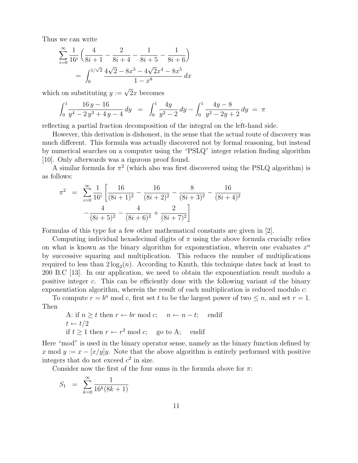Thus we can write

$$
\sum_{i=0}^{\infty} \frac{1}{16^i} \left( \frac{4}{8i+1} - \frac{2}{8i+4} - \frac{1}{8i+5} - \frac{1}{8i+6} \right)
$$

$$
= \int_0^{1/\sqrt{2}} \frac{4\sqrt{2} - 8x^3 - 4\sqrt{2}x^4 - 8x^5}{1 - x^8} dx
$$

which on substituting  $y := \sqrt{2}x$  becomes

$$
\int_0^1 \frac{16 y - 16}{y^4 - 2y^3 + 4y - 4} \, dy = \int_0^1 \frac{4y}{y^2 - 2} \, dy - \int_0^1 \frac{4y - 8}{y^2 - 2y + 2} \, dy = \pi
$$

reflecting a partial fraction decomposition of the integral on the left-hand side.

However, this derivation is dishonest, in the sense that the actual route of discovery was much different. This formula was actually discovered not by formal reasoning, but instead by numerical searches on a computer using the "PSLQ" integer relation finding algorithm [10]. Only afterwards was a rigorous proof found.

A similar formula for  $\pi^2$  (which also was first discovered using the PSLQ algorithm) is as follows:

$$
\pi^2 = \sum_{i=0}^{\infty} \frac{1}{16^i} \left[ \frac{16}{(8i+1)^2} - \frac{16}{(8i+2)^2} - \frac{8}{(8i+3)^2} - \frac{16}{(8i+4)^2} - \frac{4}{(8i+5)^2} - \frac{4}{(8i+6)^2} + \frac{2}{(8i+7)^2} \right]
$$

Formulas of this type for a few other mathematical constants are given in [2].

Computing individual hexadecimal digits of  $\pi$  using the above formula crucially relies on what is known as the binary algorithm for exponentiation, wherein one evaluates  $x^n$ by successive squaring and multiplication. This reduces the number of multiplications required to less than  $2\log_2(n)$ . According to Knuth, this technique dates back at least to 200 B.C [13]. In our application, we need to obtain the exponentiation result modulo a positive integer c. This can be efficiently done with the following variant of the binary exponentiation algorithm, wherein the result of each multiplication is reduced modulo c:

To compute  $r = b^n \mod c$ , first set t to be the largest power of two  $\leq n$ , and set  $r = 1$ . Then

A: if 
$$
n \ge t
$$
 then  $r \leftarrow br \mod c$ ;  $n \leftarrow n - t$ ; endif  
\n $t \leftarrow t/2$   
\nif  $t \ge 1$  then  $r \leftarrow r^2 \mod c$ ; go to A; endif

Here "mod" is used in the binary operator sense, namely as the binary function defined by x mod  $y := x - (x/y)y$ . Note that the above algorithm is entirely performed with positive integers that do not exceed  $c^2$  in size.

Consider now the first of the four sums in the formula above for  $\pi$ :

$$
S_1 = \sum_{k=0}^{\infty} \frac{1}{16^k (8k+1)}
$$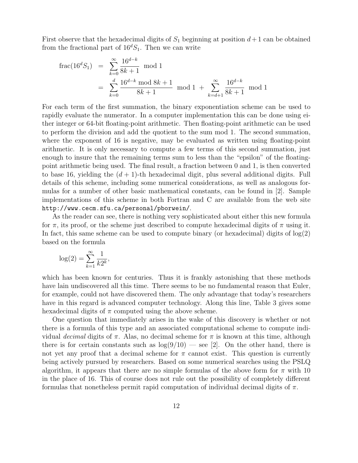First observe that the hexadecimal digits of  $S_1$  beginning at position  $d+1$  can be obtained from the fractional part of  $16^dS_1$ . Then we can write

$$
\begin{aligned} \text{frac}(16^d S_1) &= \sum_{k=0}^{\infty} \frac{16^{d-k}}{8k+1} \mod 1 \\ &= \sum_{k=0}^d \frac{16^{d-k} \mod 8k+1}{8k+1} \mod 1 + \sum_{k=d+1}^{\infty} \frac{16^{d-k}}{8k+1} \mod 1 \end{aligned}
$$

For each term of the first summation, the binary exponentiation scheme can be used to rapidly evaluate the numerator. In a computer implementation this can be done using either integer or 64-bit floating-point arithmetic. Then floating-point arithmetic can be used to perform the division and add the quotient to the sum mod 1. The second summation, where the exponent of 16 is negative, may be evaluated as written using floating-point arithmetic. It is only necessary to compute a few terms of this second summation, just enough to insure that the remaining terms sum to less than the "epsilon" of the floatingpoint arithmetic being used. The final result, a fraction between 0 and 1, is then converted to base 16, yielding the  $(d + 1)$ -th hexadecimal digit, plus several additional digits. Full details of this scheme, including some numerical considerations, as well as analogous formulas for a number of other basic mathematical constants, can be found in [2]. Sample implementations of this scheme in both Fortran and C are available from the web site http://www.cecm.sfu.ca/personal/pborwein/.

As the reader can see, there is nothing very sophisticated about either this new formula for  $\pi$ , its proof, or the scheme just described to compute hexadecimal digits of  $\pi$  using it. In fact, this same scheme can be used to compute binary (or hexadecimal) digits of  $log(2)$ based on the formula

$$
\log(2) = \sum_{k=1}^{\infty} \frac{1}{k2^k},
$$

which has been known for centuries. Thus it is frankly astonishing that these methods have lain undiscovered all this time. There seems to be no fundamental reason that Euler, for example, could not have discovered them. The only advantage that today's researchers have in this regard is advanced computer technology. Along this line, Table 3 gives some hexadecimal digits of  $\pi$  computed using the above scheme.

One question that immediately arises in the wake of this discovery is whether or not there is a formula of this type and an associated computational scheme to compute individual *decimal* digits of π. Alas, no decimal scheme for π is known at this time, although there is for certain constants such as  $log(9/10)$  — see [2]. On the other hand, there is not yet any proof that a decimal scheme for  $\pi$  cannot exist. This question is currently being actively pursued by researchers. Based on some numerical searches using the PSLQ algorithm, it appears that there are no simple formulas of the above form for  $\pi$  with 10 in the place of 16. This of course does not rule out the possibility of completely different formulas that nonetheless permit rapid computation of individual decimal digits of  $\pi$ .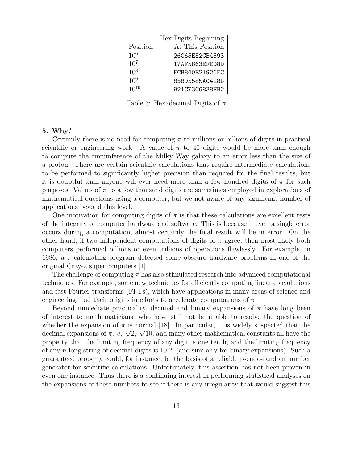|           | Hex Digits Beginning |
|-----------|----------------------|
| Position  | At This Position     |
| $10^{6}$  | 26C65E52CB4593       |
| $10^{7}$  | 17AF5863EFED8D       |
| $10^{8}$  | ECB840E21926EC       |
| $10^{9}$  | 85895585A0428B       |
| $10^{10}$ | 921C73C6838FB2       |

Table 3: Hexadecimal Digits of  $\pi$ 

### **5. Why?**

Certainly there is no need for computing  $\pi$  to millions or billions of digits in practical scientific or engineering work. A value of  $\pi$  to 40 digits would be more than enough to compute the circumference of the Milky Way galaxy to an error less than the size of a proton. There are certain scientific calculations that require intermediate calculations to be performed to significantly higher precision than required for the final results, but it is doubtful than anyone will ever need more than a few hundred digits of  $\pi$  for such purposes. Values of  $\pi$  to a few thousand digits are sometimes employed in explorations of mathematical questions using a computer, but we not aware of any significant number of applications beyond this level.

One motivation for computing digits of  $\pi$  is that these calculations are excellent tests of the integrity of computer hardware and software. This is because if even a single error occurs during a computation, almost certainly the final result will be in error. On the other hand, if two independent computations of digits of  $\pi$  agree, then most likely both computers performed billions or even trillions of operations flawlessly. For example, in 1986, a  $\pi$ -calculating program detected some obscure hardware problems in one of the original Cray-2 supercomputers [1].

The challenge of computing  $\pi$  has also stimulated research into advanced computational techniques. For example, some new techniques for efficiently computing linear convolutions and fast Fourier transforms (FFTs), which have applications in many areas of science and engineering, had their origins in efforts to accelerate computations of  $\pi$ .

Beyond immediate practicality, decimal and binary expansions of  $\pi$  have long been of interest to mathematicians, who have still not been able to resolve the question of whether the expansion of  $\pi$  is normal [18]. In particular, it is widely suspected that the decimal expansions of  $\pi$ ,  $e$ ,  $\sqrt{2}$ ,  $\sqrt{10}$ , and many other mathematical constants all have the property that the limiting frequency of any digit is one tenth, and the limiting frequency of any n-long string of decimal digits is 10−*<sup>n</sup>* (and similarly for binary expansions). Such a guaranteed property could, for instance, be the basis of a reliable pseudo-random number generator for scientific calculations. Unfortunately, this assertion has not been proven in even one instance. Thus there is a continuing interest in performing statistical analyses on the expansions of these numbers to see if there is any irregularity that would suggest this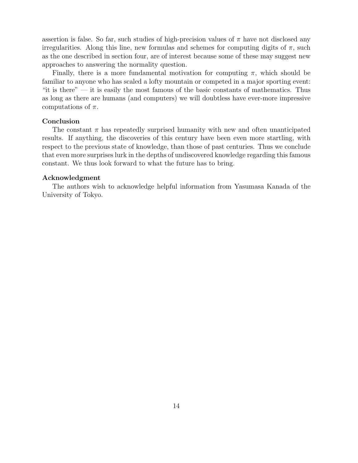assertion is false. So far, such studies of high-precision values of  $\pi$  have not disclosed any irregularities. Along this line, new formulas and schemes for computing digits of  $\pi$ , such as the one described in section four, are of interest because some of these may suggest new approaches to answering the normality question.

Finally, there is a more fundamental motivation for computing  $\pi$ , which should be familiar to anyone who has scaled a lofty mountain or competed in a major sporting event: "it is there"  $-$  it is easily the most famous of the basic constants of mathematics. Thus as long as there are humans (and computers) we will doubtless have ever-more impressive computations of  $\pi$ .

### **Conclusion**

The constant  $\pi$  has repeatedly surprised humanity with new and often unanticipated results. If anything, the discoveries of this century have been even more startling, with respect to the previous state of knowledge, than those of past centuries. Thus we conclude that even more surprises lurk in the depths of undiscovered knowledge regarding this famous constant. We thus look forward to what the future has to bring.

### **Acknowledgment**

The authors wish to acknowledge helpful information from Yasumasa Kanada of the University of Tokyo.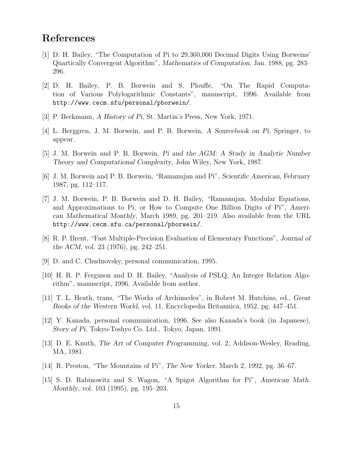## **References**

- [1] D. H. Bailey, "The Computation of Pi to 29,360,000 Decimal Digits Using Borweins' Quartically Convergent Algorithm", *Mathematics of Computation*, Jan. 1988, pg. 283– 296.
- [2] D. H. Bailey, P. B. Borwein and S. Plouffe, "On The Rapid Computation of Various Polylogarithmic Constants", manuscript, 1996. Available from http://www.cecm.sfu/personal/pborwein/.
- [3] P. Beckmann, *A History of Pi*, St. Martin's Press, New York, 1971.
- [4] L. Berggren, J. M. Borwein, and P. B. Borwein, *A Sourcebook on Pi*, Springer, to appear.
- [5] J. M. Borwein and P. B. Borwein, *Pi and the AGM: A Study in Analytic Number Theory and Computational Complexity*, John Wiley, New York, 1987.
- [6] J. M. Borwein and P. B. Borwein, "Ramanujan and Pi", *Scientific American*, February 1987, pg. 112–117.
- [7] J. M. Borwein, P. B. Borwein and D. H. Bailey, "Ramanujan, Modular Equations, and Approximations to Pi, or How to Compute One Billion Digits of Pi", *American Mathematical Monthly*, March 1989, pg. 201–219. Also available from the URL http://www.cecm.sfu.ca/personal/pborwein/.
- [8] R. P. Brent, "Fast Multiple-Precision Evaluation of Elementary Functions", *Journal of the ACM*, vol. 23 (1976), pg. 242–251.
- [9] D. and C. Chudnovsky, personal communication, 1995.
- [10] H. R. P. Ferguson and D. H. Bailey, "Analysis of PSLQ, An Integer Relation Algorithm", manuscript, 1996. Available from author.
- [11] T. L. Heath, trans, "The Works of Archimedes", in Robert M. Hutchins, ed., *Great Books of the Western World*, vol. 11, Encyclopedia Britannica, 1952, pg. 447–451.
- [12] Y. Kanada, personal communication, 1996. See also Kanada's book (in Japanese), *Story of Pi*, Tokyo-Toshyo Co. Ltd., Tokyo, Japan, 1991.
- [13] D. E. Knuth, *The Art of Computer Programming*, vol. 2, Addison-Wesley, Reading, MA, 1981.
- [14] R. Preston, "The Mountains of Pi", *The New Yorker*, March 2, 1992, pg. 36–67.
- [15] S. D. Rabinowitz and S. Wagon, "A Spigot Algorithm for Pi", *American Math. Monthly*, vol. 103 (1995), pg. 195–203.